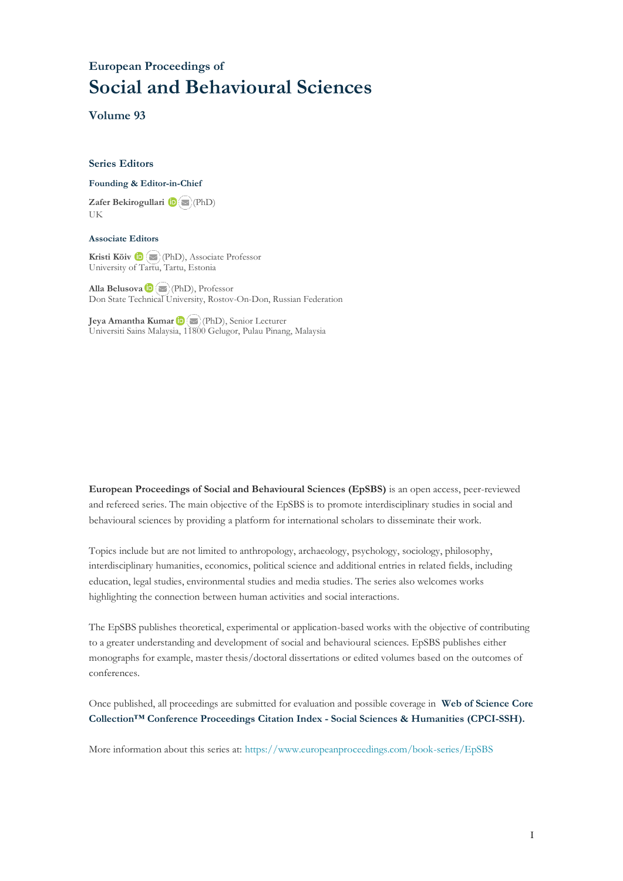# **European Proceedings of Social and Behavioural Sciences**

**Volume 93**

#### **Series Editors**

#### **Founding & Editor-in-Chief**

**Zafer Bekirogullari**(PhD) UK

#### **Associate Editors**

**Kristi Köiv** (PhD), Associate Professor University of Tartu, Tartu, Estonia

**Alla Belusova**(PhD), Professor Don State Technical University, Rostov-On-Don, Russian Federation

**Jeya Amantha Kumar**(PhD), Senior Lecturer Universiti Sains Malaysia, [1180](mailto:amantha@usm.my)0 Gelugor, Pulau Pinang, Malaysia

**European Proceedings of Social and Behavioural Sciences (EpSBS)** is an open access, peer-reviewed and refereed series. The main objective of the EpSBS is to promote interdisciplinary studies in social and behavioural sciences by providing a platform for international scholars to disseminate their work.

Topics include but are not limited to anthropology, archaeology, psychology, sociology, philosophy, interdisciplinary humanities, economics, political science and additional entries in related fields, including education, legal studies, environmental studies and media studies. The series also welcomes works highlighting the connection between human activities and social interactions.

The EpSBS publishes theoretical, experimental or application-based works with the objective of contributing to a greater understanding and development of social and behavioural sciences. EpSBS publishes either monographs for example, master thesis/doctoral dissertations or edited volumes based on the outcomes of conferences.

Once published, all proceedings are submitted for evaluation and possible coverage in **Web of [Science](https://clarivate.com/webofsciencegroup/solutions/webofscience-cpci/) Core Collection™ Conference Proceedings Citation Index - Social Sciences & Humanities [\(CPCI-SSH\).](https://clarivate.com/webofsciencegroup/solutions/webofscience-cpci/)**

More information about this series at[: https://www.europeanproceedings.com/book-series/EpSBS](https://www.europeanproceedings.com/book-series/EpSBS)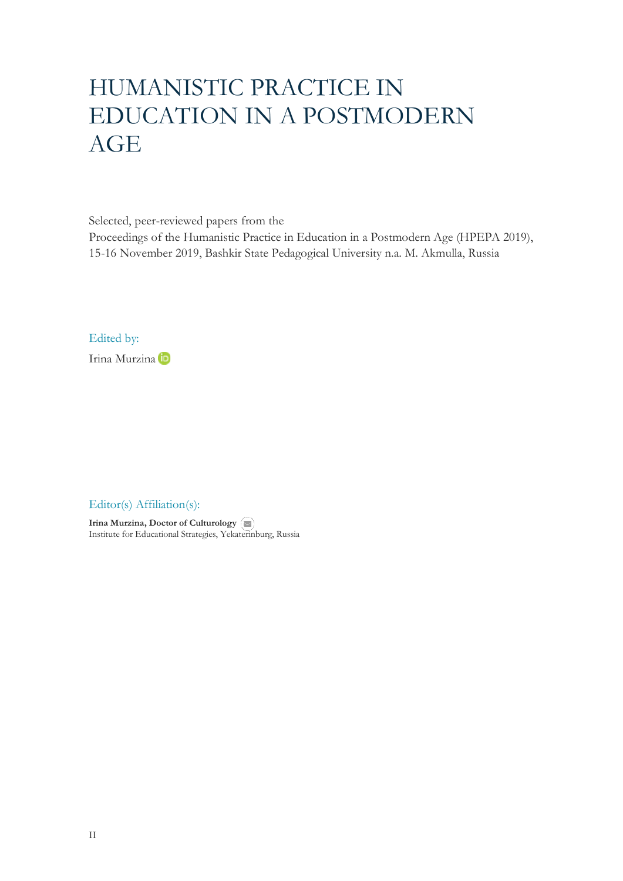# HUMANISTIC PRACTICE IN EDUCATION IN A POSTMODERN AGE

Selected, peer-reviewed papers from the

Proceedings of the Humanistic Practice in Education in a Postmodern Age (HPEPA 2019), 15-16 November 2019, Bashkir State Pedagogical University n.a. M. Akmulla, Russia

Edited by:

Irina Murzina

Editor(s) Affiliation(s):

**Irina Murzina, Doctor of Culturology** Institute for Educational Strategies, Yeka[terin](mailto:mailto:ekb-ural@yandex.ru)burg, Russia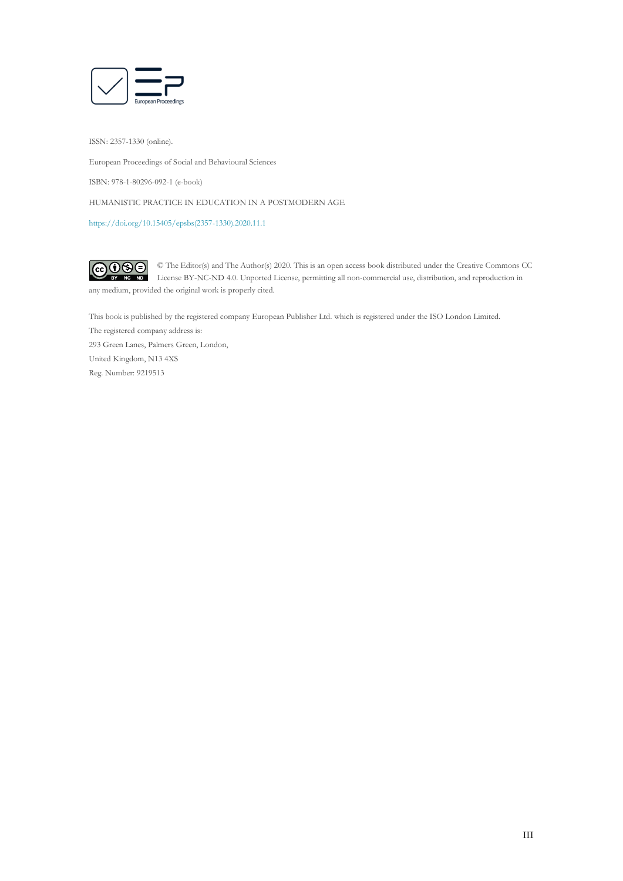

ISSN: 2357-1330 (online).

European Proceedings of Social and Behavioural Sciences

ISBN: 978-1-80296-092-1 (e-book)

HUMANISTIC PRACTICE IN EDUCATION IN A POSTMODERN AGE

[https://doi.org/10.15405/epsbs\(2357-1330\).2020.11.1](https://doi.org/10.15405/epsbs(2357-1330).2020.11.1)

 $G \odot \odot$ © The Editor(s) and The Author(s) 2020. This is an open access book distributed under the Creative Commons CC License BY-NC-ND 4.0. Unported License, permitting all non-commercial use, distribution, and reproduction in  $\overline{ND}$ any medium, provided the original work is properly cited.

This book is published by the registered company European Publisher Ltd. which is registered under the ISO London Limited. The registered company address is: 293 Green Lanes, Palmers Green, London, United Kingdom, N13 4XS Reg. Number: 9219513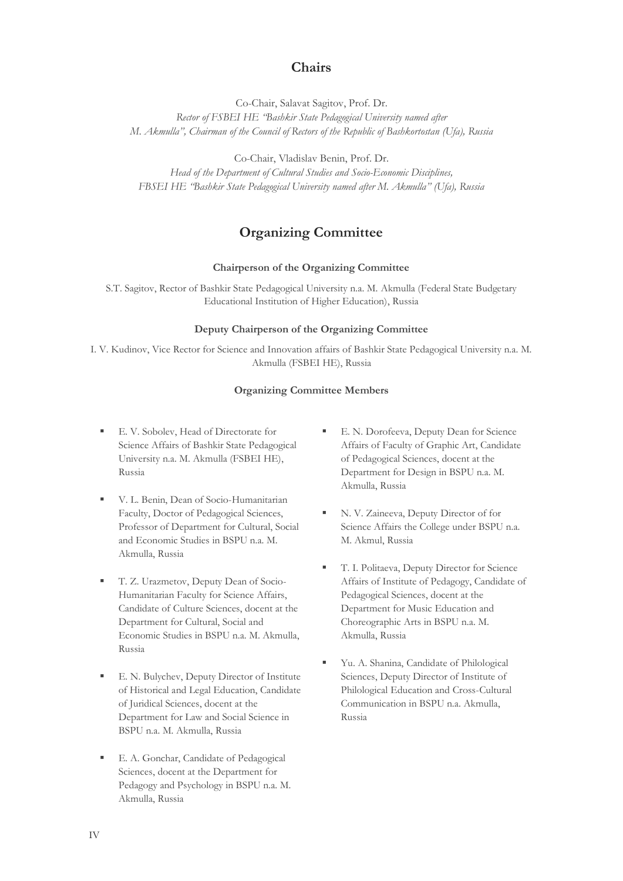# **Chairs**

Co-Chair, Salavat Sagitov, Prof. Dr.

*Rector of FSBEI HE "Bashkir State Pedagogical University named after M. Akmulla", Chairman of the Council of Rectors of the Republic of Bashkortostan (Ufa), Russia*

Co-Chair, Vladislav Benin, Prof. Dr.

*Head of the Department of Cultural Studies and Socio-Economic Disciplines, FBSEI HE "Bashkir State Pedagogical University named after M. Akmulla" (Ufa), Russia*

# **Organizing Committee**

# **Chairperson of the Organizing Committee**

S.T. Sagitov, Rector of Bashkir State Pedagogical University n.a. M. Akmulla (Federal State Budgetary Educational Institution of Higher Education), Russia

# **Deputy Chairperson of the Organizing Committee**

I. V. Kudinov, Vice Rector for Science and Innovation affairs of Bashkir State Pedagogical University n.a. M. Akmulla (FSBEI HE), Russia

#### **Organizing Committee Members**

- E. V. Sobolev, Head of Directorate for Science Affairs of Bashkir State Pedagogical University n.a. M. Akmulla (FSBEI HE), Russia
- V. L. Benin, Dean of Socio-Humanitarian Faculty, Doctor of Pedagogical Sciences, Professor of Department for Cultural, Social and Economic Studies in BSPU n.a. M. Akmulla, Russia
- T. Z. Urazmetov, Deputy Dean of Socio-Humanitarian Faculty for Science Affairs, Candidate of Culture Sciences, docent at the Department for Cultural, Social and Economic Studies in BSPU n.a. M. Akmulla, Russia
- E. N. Bulychev, Deputy Director of Institute of Historical and Legal Education, Candidate of Juridical Sciences, docent at the Department for Law and Social Science in BSPU n.a. M. Akmulla, Russia
- E. A. Gonchar, Candidate of Pedagogical Sciences, docent at the Department for Pedagogy and Psychology in BSPU n.a. M. Akmulla, Russia
- E. N. Dorofeeva, Deputy Dean for Science Affairs of Faculty of Graphic Art, Candidate of Pedagogical Sciences, docent at the Department for Design in BSPU n.a. M. Akmulla, Russia
- N. V. Zaineeva, Deputy Director of for Science Affairs the College under BSPU n.a. M. Akmul, Russia
- T. I. Politaeva, Deputy Director for Science Affairs of Institute of Pedagogy, Candidate of Pedagogical Sciences, docent at the Department for Music Education and Choreographic Arts in BSPU n.a. M. Akmulla, Russia
- Yu. A. Shanina, Candidate of Philological Sciences, Deputy Director of Institute of Philological Education and Cross-Cultural Communication in BSPU n.a. Akmulla, Russia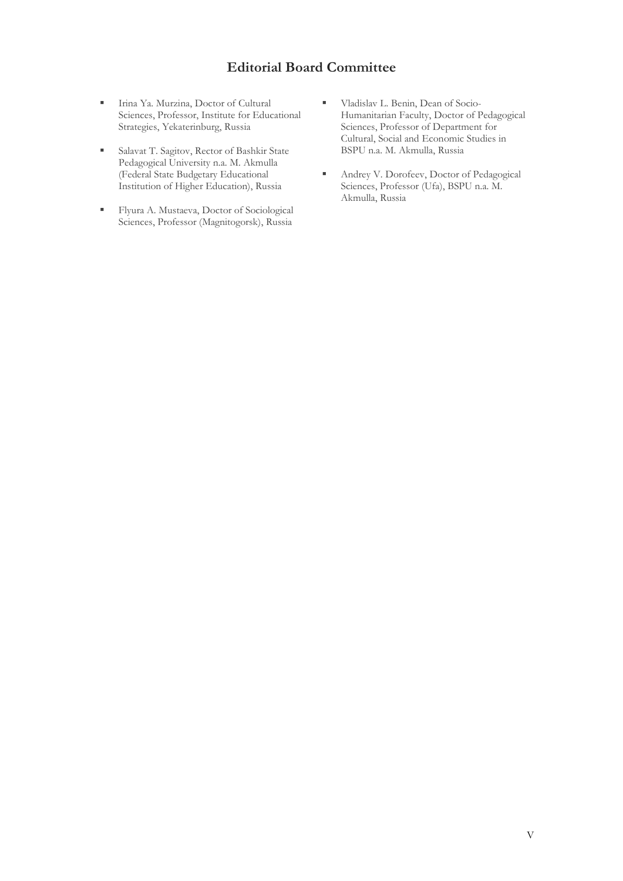# **Editorial Board Committee**

- **EXECUTE:** Irina Ya. Murzina, Doctor of Cultural Sciences, Professor, Institute for Educational Strategies, Yekaterinburg, Russia
- Salavat T. Sagitov, Rector of Bashkir State Pedagogical University n.a. M. Akmulla (Federal State Budgetary Educational Institution of Higher Education), Russia
- Flyura A. Mustaeva, Doctor of Sociological Sciences, Professor (Magnitogorsk), Russia
- **Uladislav L. Benin, Dean of Socio-**Humanitarian Faculty, Doctor of Pedagogical Sciences, Professor of Department for Cultural, Social and Economic Studies in BSPU n.a. M. Akmulla, Russia
- Andrey V. Dorofeev, Doctor of Pedagogical Sciences, Professor (Ufa), BSPU n.a. M. Akmulla, Russia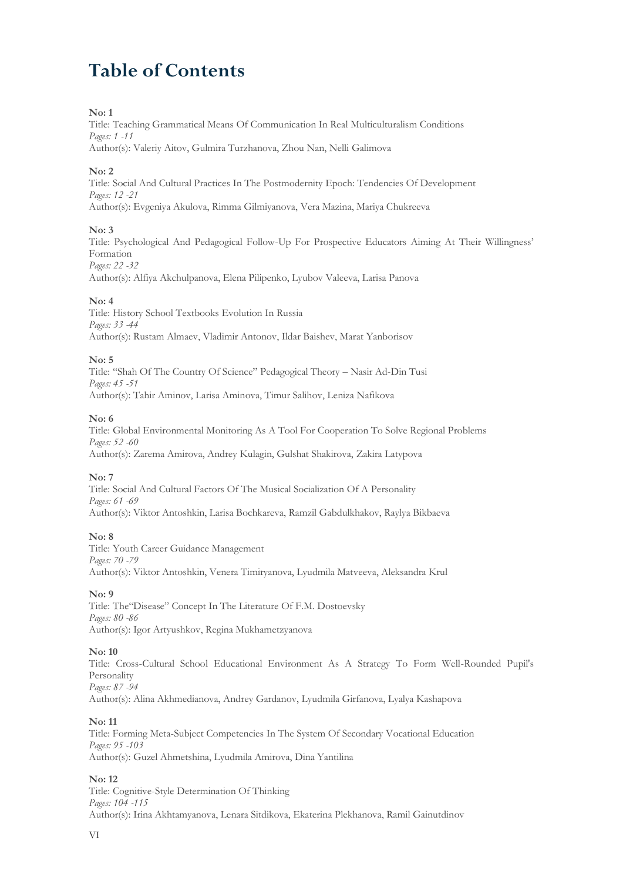# **Table of Contents**

# **No: 1**

Title: Teaching Grammatical Means Of Communication In Real Multiculturalism Conditions *Pages: 1 -11*

Author(s): Valeriy Aitov, Gulmira Turzhanova, Zhou Nan, Nelli Galimova

# **No: 2**

Title: Social And Cultural Practices In The Postmodernity Epoch: Tendencies Of Development *Pages: 12 -21* Author(s): Evgeniya Akulova, Rimma Gilmiyanova, Vera Mazina, Mariya Chukreeva

# **No: 3**

Title: Psychological And Pedagogical Follow-Up For Prospective Educators Aiming At Their Willingness' Formation *Pages: 22 -32*

Author(s): Alfiya Akchulpanova, Elena Pilipenko, Lyubov Valeeva, Larisa Panova

# **No: 4**

Title: History School Textbooks Evolution In Russia *Pages: 33 -44* Author(s): Rustam Almaev, Vladimir Antonov, Ildar Baishev, Marat Yanborisov

# **No: 5**

Title: "Shah Of The Country Of Science" Pedagogical Theory – Nasir Ad-Din Tusi *Pages: 45 -51* Author(s): Tahir Aminov, Larisa Aminova, Timur Salihov, Leniza Nafikova

# **No: 6**

Title: Global Environmental Monitoring As A Tool For Cooperation To Solve Regional Problems *Pages: 52 -60* Author(s): Zarema Amirova, Andrey Kulagin, Gulshat Shakirova, Zakira Latypova

# **No: 7**

Title: Social And Cultural Factors Of The Musical Socialization Of A Personality *Pages: 61 -69* Author(s): Viktor Antoshkin, Larisa Bochkareva, Ramzil Gabdulkhakov, Raylya Bikbaeva

# **No: 8**

Title: Youth Career Guidance Management *Pages: 70 -79* Author(s): Viktor Antoshkin, Venera Timiryanova, Lyudmila Matveeva, Aleksandra Krul

# **No: 9**

Title: The"Disease" Concept In The Literature Of F.M. Dostoevsky *Pages: 80 -86* Author(s): Igor Artyushkov, Regina Mukhametzyanova

# **No: 10**

Title: Cross-Cultural School Educational Environment As A Strategy To Form Well-Rounded Pupil's Personality *Pages: 87 -94*

Author(s): Alina Akhmedianova, Andrey Gardanov, Lyudmila Girfanova, Lyalya Kashapova

# **No: 11**

Title: Forming Meta-Subject Competencies In The System Of Secondary Vocational Education *Pages: 95 -103* Author(s): Guzel Ahmetshina, Lyudmila Amirova, Dina Yantilina

# **No: 12**

Title: Cognitive-Style Determination Of Thinking *Pages: 104 -115* Author(s): Irina Akhtamyanova, Lenara Sitdikova, Ekaterina Plekhanova, Ramil Gainutdinov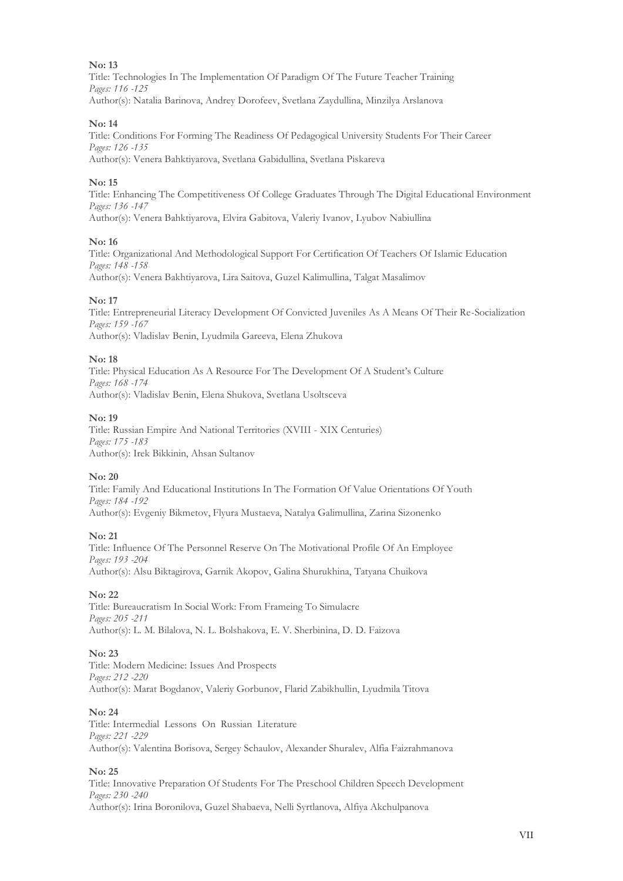Title: Technologies In The Implementation Of Paradigm Of The Future Teacher Training *Pages: 116 -125* Author(s): Natalia Barinova, Andrey Dorofeev, Svetlana Zaydullina, Minzilya Arslanova

#### **No: 14**

Title: Conditions For Forming The Readiness Of Pedagogical University Students For Their Career *Pages: 126 -135* Author(s): Venera Bahktiyarova, Svetlana Gabidullina, Svetlana Piskareva

#### **No: 15**

Title: Enhancing The Competitiveness Of College Graduates Through The Digital Educational Environment *Pages: 136 -147* Author(s): Venera Bahktiyarova, Elvira Gabitova, Valeriy Ivanov, Lyubov Nabiullina

#### **No: 16**

Title: Organizational And Methodological Support For Certification Of Teachers Of Islamic Education *Pages: 148 -158* Author(s): Venera Bakhtiyarova, Lira Saitova, Guzel Kalimullina, Talgat Masalimov

#### **No: 17**

Title: Entrepreneurial Literacy Development Of Convicted Juveniles As A Means Of Their Re-Socialization *Pages: 159 -167* Author(s): Vladislav Benin, Lyudmila Gareeva, Elena Zhukova

#### **No: 18**

Title: Physical Education As A Resource For The Development Of A Student's Culture *Pages: 168 -174* Author(s): Vladislav Benin, Elena Shukova, Svetlana Usoltsceva

#### **No: 19**

Title: Russian Empire And National Territories (XVIII - XIX Centuries) *Pages: 175 -183* Author(s): Irek Bikkinin, Ahsan Sultanov

# **No: 20**

Title: Family And Educational Institutions In The Formation Of Value Orientations Of Youth *Pages: 184 -192* Author(s): Evgeniy Bikmetov, Flyura Mustaeva, Natalya Galimullina, Zarina Sizonenko

#### **No: 21**

Title: Influence Of The Personnel Reserve On The Motivational Profile Of An Employee *Pages: 193 -204* Author(s): Alsu Biktagirova, Garnik Akopov, Galina Shurukhina, Tatyana Chuikova

# **No: 22**

Title: Bureaucratism In Social Work: From Frameing To Simulacre *Pages: 205 -211* Author(s): L. M. Bilalova, N. L. Bolshakova, E. V. Sherbinina, D. D. Faizova

#### **No: 23**

Title: Modern Medicine: Issues And Prospects *Pages: 212 -220* Author(s): Marat Bogdanov, Valeriy Gorbunov, Flarid Zabikhullin, Lyudmila Titova

#### **No: 24**

Title: Intermedial Lessons On Russian Literature *Pages: 221 -229* Author(s): Valentina Borisova, Sergey Schaulov, Alexander Shuralev, Alfia Faizrahmanova

# **No: 25**

Title: Innovative Preparation Of Students For The Preschool Children Speech Development *Pages: 230 -240* Author(s): Irina Boronilova, Guzel Shabaeva, Nelli Syrtlanova, Alfiya Akchulpanova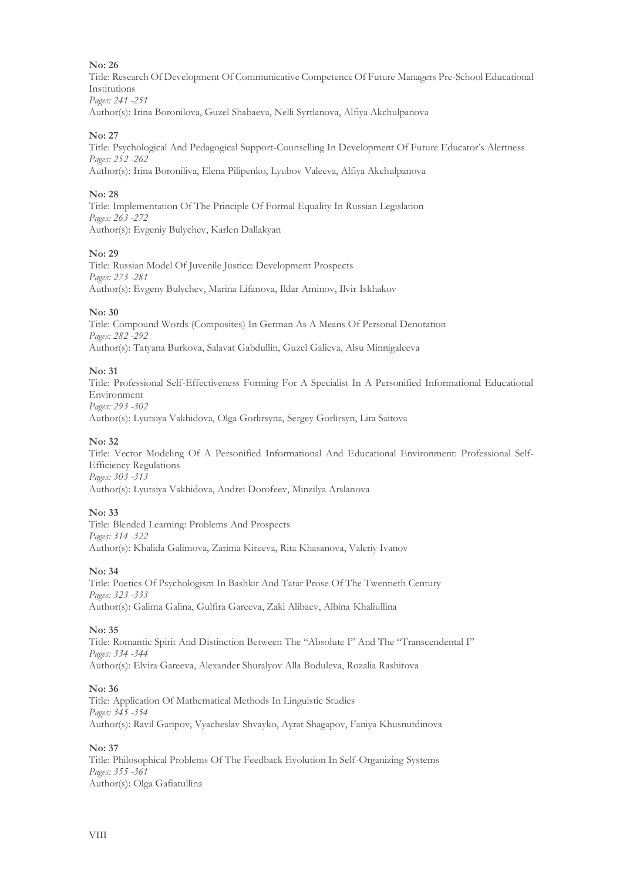Title: Research Of Development Of Communicative Competence Of Future Managers Pre-School Educational Institutions *Pages: 241 -251*

Author(s): Irina Boronilova, Guzel Shabaeva, Nelli Syrtlanova, Alfiya Akchulpanova

# **No: 27**

Title: Psychological And Pedagogical Support-Counselling In Development Of Future Educator's Alertness *Pages: 252 -262* Author(s): Irina Boroniliva, Elena Pilipenko, Lyubov Valeeva, Alfiya Akchulpanova

# **No: 28**

Title: Implementation Of The Principle Of Formal Equality In Russian Legislation *Pages: 263 -272* Author(s): Evgeniy Bulychev, Karlen Dallakyan

# **No: 29**

Title: Russian Model Of Juvenile Justice: Development Prospects *Pages: 273 -281* Author(s): Evgeny Bulychev, Marina Lifanova, Ildar Aminov, Ilvir Iskhakov

#### **No: 30**

Title: Compound Words (Composites) In German As A Means Of Personal Denotation *Pages: 282 -292* Author(s): Tatyana Burkova, Salavat Gabdullin, Guzel Galieva, Alsu Minnigaleeva

#### **No: 31**

Title: Professional Self-Effectiveness Forming For A Specialist In A Personified Informational Educational Environment *Pages: 293 -302* Author(s): Lyutsiya Vakhidova, Olga Gorlirsyna, Sergey Gorlirsyn, Lira Saitova

#### **No: 32**

Title: Vector Modeling Of A Personified Informational And Educational Environment: Professional Self-Efficiency Regulations *Pages: 303 -313* Author(s): Lyutsiya Vakhidova, Andrei Dorofeev, Minzilya Arslanova

# **No: 33**

Title: Blended Learning: Problems And Prospects *Pages: 314 -322* Author(s): Khalida Galimova, Zarima Kireeva, Rita Khasanova, Valeriy Ivanov

# **No: 34**

Title: Poetics Of Psychologism In Bashkir And Tatar Prose Of The Twentieth Century *Pages: 323 -333* Author(s): Galima Galina, Gulfira Gareeva, Zaki Alibaev, Albina Khaliullina

#### **No: 35**

Title: Romantic Spirit And Distinction Between The "Absolute I" And The "Transcendental I" *Pages: 334 -344* Author(s): Elvira Gareeva, Alexander Shuralyov Alla Boduleva, Rozalia Rashitova

# **No: 36**

Title: Application Of Mathematical Methods In Linguistic Studies *Pages: 345 -354* Author(s): Ravil Garipov, Vyacheslav Shvayko, Ayrat Shagapov, Faniya Khusnutdinova

#### **No: 37**

Title: Philosophical Problems Of The Feedback Evolution In Self-Organizing Systems *Pages: 355 -361* Author(s): Olga Gafiatullina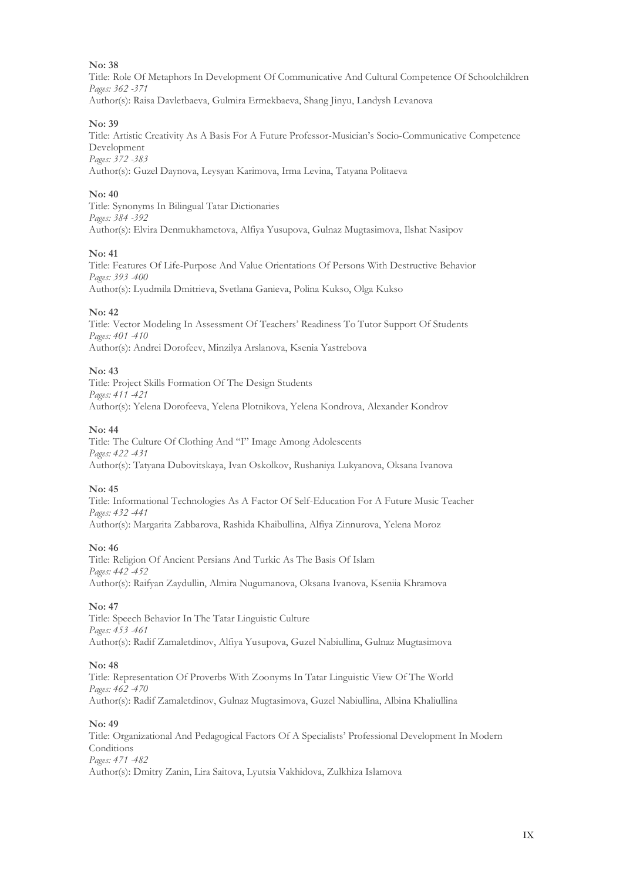Title: Role Of Metaphors In Development Of Communicative And Cultural Competence Of Schoolchildren *Pages: 362 -371* Author(s): Raisa Davletbaeva, Gulmira Ermekbaeva, Shang Jinyu, Landysh Levanova

#### **No: 39**

Title: Artistic Creativity As A Basis For A Future Professor-Musician's Socio-Communicative Competence Development *Pages: 372 -383* Author(s): Guzel Daynova, Leysyan Karimova, Irma Levina, Tatyana Politaeva

#### **No: 40**

Title: Synonyms In Bilingual Tatar Dictionaries *Pages: 384 -392* Author(s): Elvira Denmukhametova, Alfiya Yusupova, Gulnaz Mugtasimova, Ilshat Nasipov

#### **No: 41**

Title: Features Of Life-Purpose And Value Orientations Of Persons With Destructive Behavior *Pages: 393 -400* Author(s): Lyudmila Dmitrieva, Svetlana Ganieva, Polina Kukso, Olga Kukso

#### **No: 42**

Title: Vector Modeling In Assessment Of Teachers' Readiness To Tutor Support Of Students *Pages: 401 -410* Author(s): Andrei Dorofeev, Minzilya Arslanova, Ksenia Yastrebova

#### **No: 43**

Title: Project Skills Formation Of The Design Students *Pages: 411 -421* Author(s): Yelena Dorofeeva, Yelena Plotnikova, Yelena Kondrova, Alexander Kondrov

#### **No: 44**

Title: The Culture Of Clothing And "I" Image Among Adolescents *Pages: 422 -431* Author(s): Tatyana Dubovitskaya, Ivan Oskolkov, Rushaniya Lukyanova, Oksana Ivanova

#### **No: 45**

Title: Informational Technologies As A Factor Of Self-Education For A Future Music Teacher *Pages: 432 -441* Author(s): Margarita Zabbarova, Rashida Khaibullina, Alfiya Zinnurova, Yelena Moroz

#### **No: 46**

Title: Religion Of Ancient Persians And Turkic As The Basis Of Islam *Pages: 442 -452* Author(s): Raifyan Zaydullin, Almira Nugumanova, Oksana Ivanova, Kseniia Khramova

# **No: 47**

Title: Speech Behavior In The Tatar Linguistic Culture *Pages: 453 -461* Author(s): Radif Zamaletdinov, Alfiya Yusupova, Guzel Nabiullina, Gulnaz Mugtasimova

#### **No: 48**

Title: Representation Of Proverbs With Zoonyms In Tatar Linguistic View Of The World *Pages: 462 -470* Author(s): Radif Zamaletdinov, Gulnaz Mugtasimova, Guzel Nabiullina, Albina Khaliullina

#### **No: 49**

Title: Organizational And Pedagogical Factors Of A Specialists' Professional Development In Modern **Conditions** *Pages: 471 -482* Author(s): Dmitry Zanin, Lira Saitova, Lyutsia Vakhidova, Zulkhiza Islamova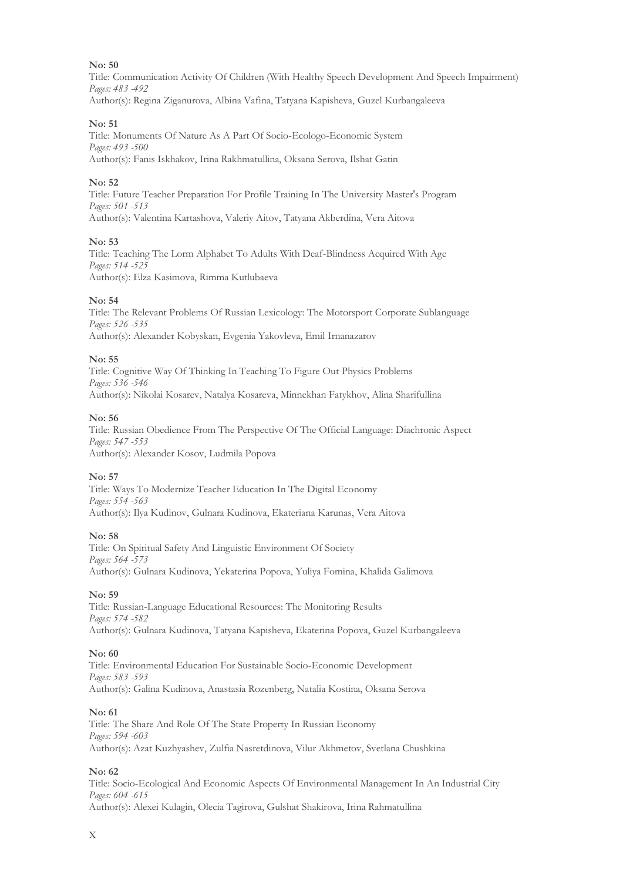Title: Communication Activity Of Children (With Healthy Speech Development And Speech Impairment) *Pages: 483 -492* Author(s): Regina Ziganurova, Albina Vafina, Tatyana Kapisheva, Guzel Kurbangaleeva

#### **No: 51**

Title: Monuments Of Nature As A Part Of Socio-Ecologo-Economic System *Pages: 493 -500* Author(s): Fanis Iskhakov, Irina Rakhmatullina, Oksana Serova, Ilshat Gatin

#### **No: 52**

Title: Future Teacher Preparation For Profile Training In The University Master's Program *Pages: 501 -513* Author(s): Valentina Kartashova, Valeriy Aitov, Tatyana Akberdina, Vera Aitova

#### **No: 53**

Title: Teaching The Lorm Alphabet To Adults With Deaf-Blindness Acquired With Age *Pages: 514 -525* Author(s): Elza Kasimova, Rimma Kutlubaeva

#### **No: 54**

Title: The Relevant Problems Of Russian Lexicology: The Motorsport Corporate Sublanguage *Pages: 526 -535* Author(s): Alexander Kobyskan, Evgenia Yakovleva, Emil Irnanazarov

#### **No: 55**

Title: Cognitive Way Of Thinking In Teaching To Figure Out Physics Problems *Pages: 536 -546* Author(s): Nikolai Kosarev, Natalya Kosareva, Minnekhan Fatykhov, Alina Sharifullina

#### **No: 56**

Title: Russian Obedience From The Perspective Of The Official Language: Diachronic Aspect *Pages: 547 -553* Author(s): Alexander Kosov, Ludmila Popova

# **No: 57**

Title: Ways To Modernize Teacher Education In The Digital Economy *Pages: 554 -563* Author(s): Ilya Kudinov, Gulnara Kudinova, Ekateriana Karunas, Vera Aitova

#### **No: 58**

Title: On Spiritual Safety And Linguistic Environment Of Society *Pages: 564 -573* Author(s): Gulnara Kudinovа, Yekaterina Popova, Yuliya Fomina, Khalida Galimova

# **No: 59**

Title: Russian-Language Educational Resources: The Monitoring Results *Pages: 574 -582* Author(s): Gulnara Kudinova, Tatyana Kapisheva, Ekaterina Popova, Guzel Kurbangaleeva

#### **No: 60**

Title: Environmental Education For Sustainable Socio-Economic Development *Pages: 583 -593* Author(s): Galina Kudinova, Anastasia Rozenberg, Natalia Kostina, Oksana Serova

#### **No: 61**

Title: The Share And Role Of The State Property In Russian Economy *Pages: 594 -603* Author(s): Azat Kuzhyashev, Zulfia Nasretdinova, Vilur Akhmetov, Svetlana Chushkina

# **No: 62**

Title: Socio-Ecological And Economic Aspects Of Environmental Management In An Industrial City *Pages: 604 -615* Author(s): Alexei Kulagin, Olecia Tagirova, Gulshat Shakirova, Irina Rahmatullina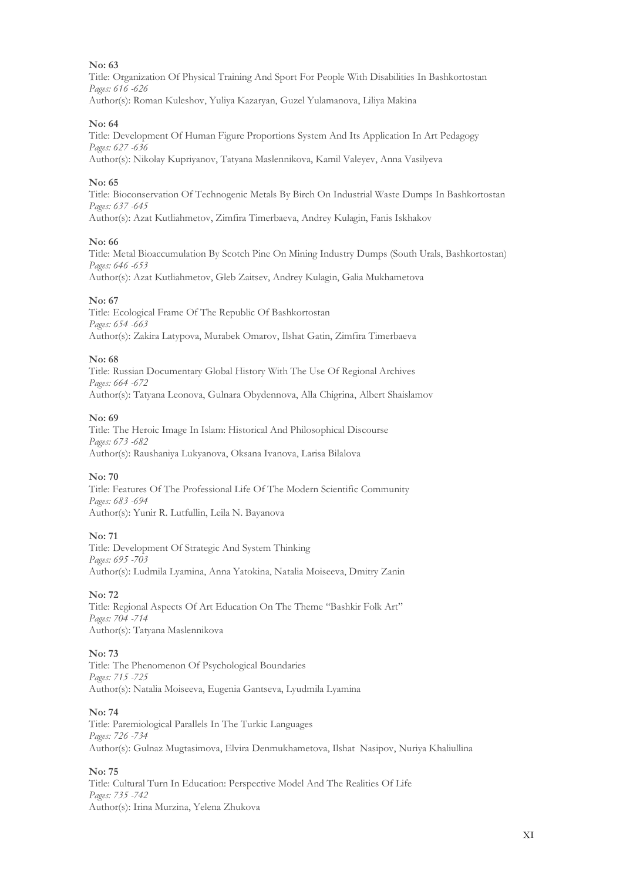Title: Organization Of Physical Training And Sport For People With Disabilities In Bashkortostan *Pages: 616 -626* Author(s): Roman Kuleshov, Yuliya Kazaryan, Guzel Yulamanova, Liliya Makina

#### **No: 64**

Title: Development Of Human Figure Proportions System And Its Application In Art Pedagogy *Pages: 627 -636* Author(s): Nikolay Kupriyanov, Tatyana Maslennikova, Kamil Valeyev, Anna Vasilyeva

#### **No: 65**

Title: Bioconservation Of Technogenic Metals By Birch On Industrial Waste Dumps In Bashkortostan *Pages: 637 -645* Author(s): Azat Kutliahmetov, Zimfira Timerbaeva, Andrey Kulagin, Fanis Iskhakov

#### **No: 66**

Title: Metal Bioaccumulation By Scotch Pine On Mining Industry Dumps (South Urals, Bashkortostan) *Pages: 646 -653* Author(s): Azat Kutliahmetov, Gleb Zaitsev, Andrey Kulagin, Galia Mukhametova

#### **No: 67**

Title: Ecological Frame Of The Republic Of Bashkortostan *Pages: 654 -663* Author(s): Zakira Latypova, Murabek Omarov, Ilshat Gatin, Zimfira Timerbaeva

#### **No: 68**

Title: Russian Documentary Global History With The Use Of Regional Archives *Pages: 664 -672* Author(s): Tatyana Leonova, Gulnara Obydennova, Alla Chigrina, Albert Shaislamov

#### **No: 69**

Title: The Heroic Image In Islam: Historical And Philosophical Discourse *Pages: 673 -682* Author(s): Raushaniya Lukyanova, Oksana Ivanova, Larisa Bilalova

# **No: 70**

Title: Features Of The Professional Life Of The Modern Scientific Community *Pages: 683 -694* Author(s): Yunir R. Lutfullin, Leila N. Bayanova

# **No: 71**

Title: Development Of Strategic And System Thinking *Pages: 695 -703* Author(s): Ludmila Lyamina, Anna Yatokina, Natalia Moiseeva, Dmitry Zanin

# **No: 72**

Title: Regional Aspects Of Art Education On The Theme "Bashkir Folk Art" *Pages: 704 -714* Author(s): Tatyana Maslennikova

#### **No: 73**

Title: The Phenomenon Of Psychological Boundaries *Pages: 715 -725* Author(s): Natalia Moiseeva, Eugenia Gantseva, Lyudmila Lyamina

#### **No: 74**

Title: Paremiological Parallels In The Turkic Languages *Pages: 726 -734* Author(s): Gulnaz Mugtasimova, Elvira Denmukhametova, Ilshat Nasipov, Nuriya Khaliullina

# **No: 75**

Title: Cultural Turn In Education: Perspective Model And The Realities Of Life *Pages: 735 -742* Author(s): Irina Murzina, Yelena Zhukova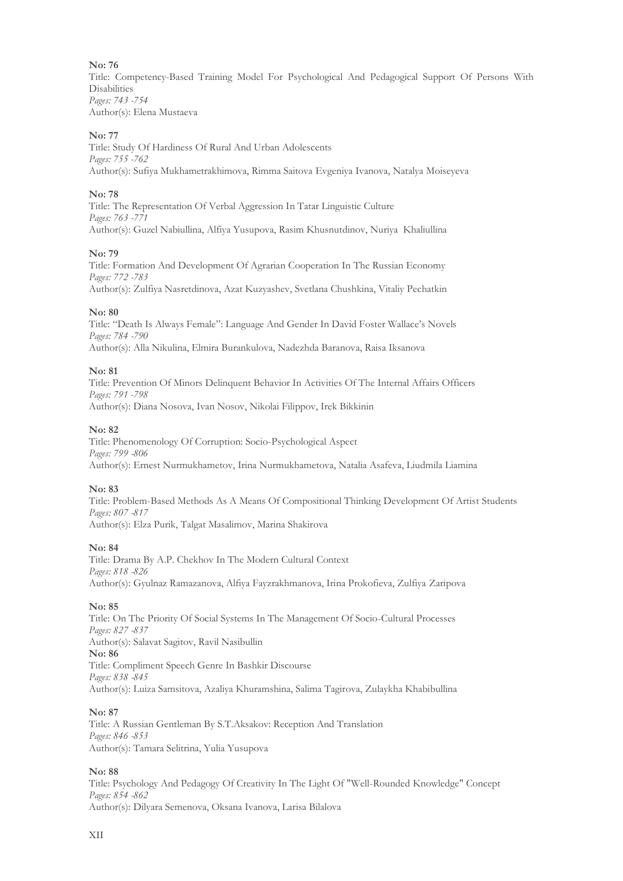Title: Сompetency-Based Training Model For Psychological And Pedagogical Support Of Persons With Disabilities *Pages: 743 -754* Author(s): Elena Mustaeva

# **No: 77**

Title: Study Of Hardiness Of Rural And Urban Adolescents *Pages: 755 -762* Author(s): Sufiya Mukhametrakhimova, Rimma Saitova Evgeniya Ivanova, Natalya Moiseyeva

# **No: 78**

Title: The Representation Of Verbal Aggression In Tatar Linguistic Culture *Pages: 763 -771* Author(s): Guzel Nabiullina, Alfiya Yusupova, Rasim Khusnutdinov, Nuriya Khaliullina

# **No: 79**

Title: Formation And Development Of Agrarian Cooperation In The Russian Economy *Pages: 772 -783*

Author(s): Zulfiya Nasretdinova, Azat Kuzyashev, Svetlana Chushkina, Vitaliy Pechatkin

# **No: 80**

Title: "Death Is Always Female": Language And Gender In David Foster Wallace's Novels *Pages: 784 -790* Author(s): Alla Nikulina, Elmira Burankulova, Nadezhda Baranova, Raisa Iksanova

# **No: 81**

Title: Prevention Of Minors Delinquent Behavior In Activities Of The Internal Affairs Officers *Pages: 791 -798* Author(s): Diana Nosova, Ivan Nosov, Nikolai Filippov, Irek Bikkinin

# **No: 82**

Title: Phenomenology Of Corruption: Socio-Psychological Aspect *Pages: 799 -806* Author(s): Ernest Nurmukhametov, Irina Nurmukhametova, Natalia Asafeva, Liudmila Liamina

# **No: 83**

Title: Problem-Based Methods As A Means Of Compositional Thinking Development Of Artist Students *Pages: 807 -817* Author(s): Elza Purik, Talgat Masalimov, Marina Shakirova

# **No: 84**

Title: Drama By A.P. Chekhov In The Modern Cultural Context *Pages: 818 -826* Author(s): Gyulnaz Ramazanova, Alfiya Fayzrakhmanova, Irina Prokofieva, Zulfiya Zaripova

# **No: 85**

Title: On The Priority Of Social Systems In The Management Of Socio-Cultural Processes *Pages: 827 -837* Author(s): Salavat Sagitov, Ravil Nasibullin **No: 86** Title: Compliment Speech Genre In Bashkir Discourse *Pages: 838 -845* Author(s): Luiza Samsitova, Azaliya Khuramshina, Salima Tagirova, Zulaykha Khabibullina

# **No: 87**

Title: A Russian Gentleman By S.T.Aksakov: Reception And Translation *Pages: 846 -853* Author(s): Tamara Selitrina, Yulia Yusupova

# **No: 88**

Title: Psychology And Pedagogy Of Creativity In The Light Of "Well-Rounded Knowledge" Concept *Pages: 854 -862* Author(s): Dilyara Semenova, Oksana Ivanova, Larisa Bilalova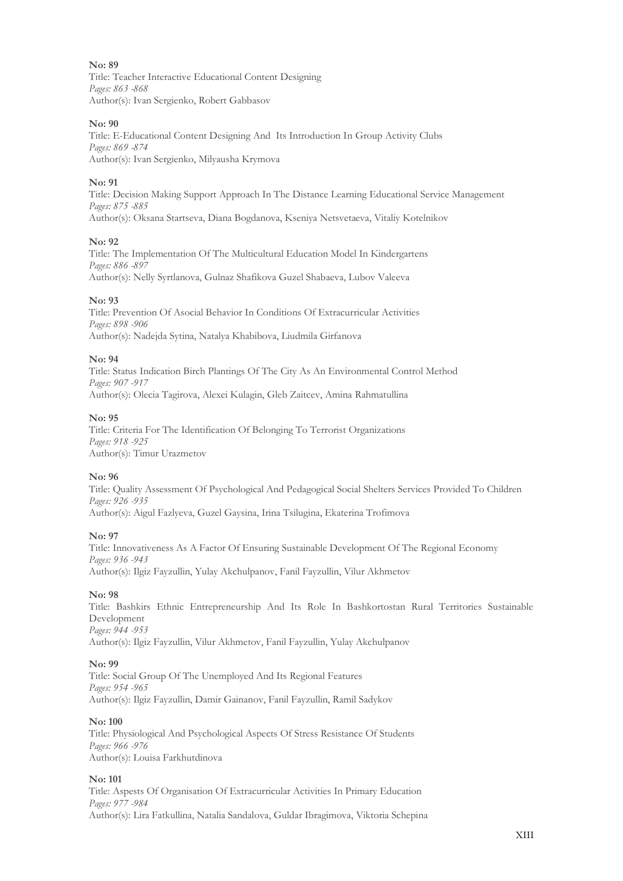Title: Teacher Interactive Educational Content Designing *Pages: 863 -868* Author(s): Ivan Sergienko, Robert Gabbasov

#### **No: 90**

Title: E-Educational Content Designing And Its Introduction In Group Activity Clubs *Pages: 869 -874* Author(s): Ivan Sergienko, Milyausha Krymova

#### **No: 91**

Title: Decision Making Support Approach In The Distance Learning Educational Service Management *Pages: 875 -885* Author(s): Oksana Startseva, Diana Bogdanova, Kseniya Netsvetaeva, Vitaliy Kotelnikov

#### **No: 92**

Title: The Implementation Of The Multicultural Education Model In Kindergartens *Pages: 886 -897* Author(s): Nelly Syrtlanova, Gulnaz Shafikova Guzel Shabaeva, Lubov Valeeva

#### **No: 93**

Title: Prevention Of Asocial Behavior In Conditions Of Extracurricular Activities *Pages: 898 -906* Author(s): Nadejda Sytina, Natalya Khabibova, Liudmila Girfanova

#### **No: 94**

Title: Status Indication Birch Plantings Of The City As An Environmental Control Method *Pages: 907 -917* Author(s): Olecia Tagirova, Alexei Kulagin, Gleb Zaitcev, Amina Rahmatullina

#### **No: 95**

Title: Criteria For The Identification Of Belonging To Terrorist Organizations *Pages: 918 -925* Author(s): Timur Urazmetov

# **No: 96**

Title: Quality Assessment Of Psychological And Pedagogical Social Shelters Services Provided To Children *Pages: 926 -935* Author(s): Aigul Fazlyeva, Guzel Gaysina, Irina Tsilugina, Ekaterina Trofimova

#### **No: 97**

Title: Innovativeness As A Factor Of Ensuring Sustainable Development Of The Regional Economy *Pages: 936 -943* Author(s): Ilgiz Fayzullin, Yulay Akchulpanov, Fanil Fayzullin, Vilur Akhmetov

#### **No: 98**

Title: Bashkirs Ethnic Entrepreneurship And Its Role In Bashkortostan Rural Territories Sustainable Development *Pages: 944 -953*

Author(s): Ilgiz Fayzullin, Vilur Akhmetov, Fanil Fayzullin, Yulay Akchulpanov

#### **No: 99**

Title: Social Group Of The Unemployed And Its Regional Features *Pages: 954 -965* Author(s): Ilgiz Fayzullin, Damir Gainanov, Fanil Fayzullin, Ramil Sadykov

#### **No: 100**

Title: Physiological And Psychological Aspects Of Stress Resistance Of Students *Pages: 966 -976* Author(s): Louisa Farkhutdinova

# **No: 101**

Title: Aspests Of Organisation Of Extracurricular Activities In Primary Education *Pages: 977 -984* Author(s): Lira Fatkullina, Natalia Sandalova, Guldar Ibragimova, Viktoria Schepina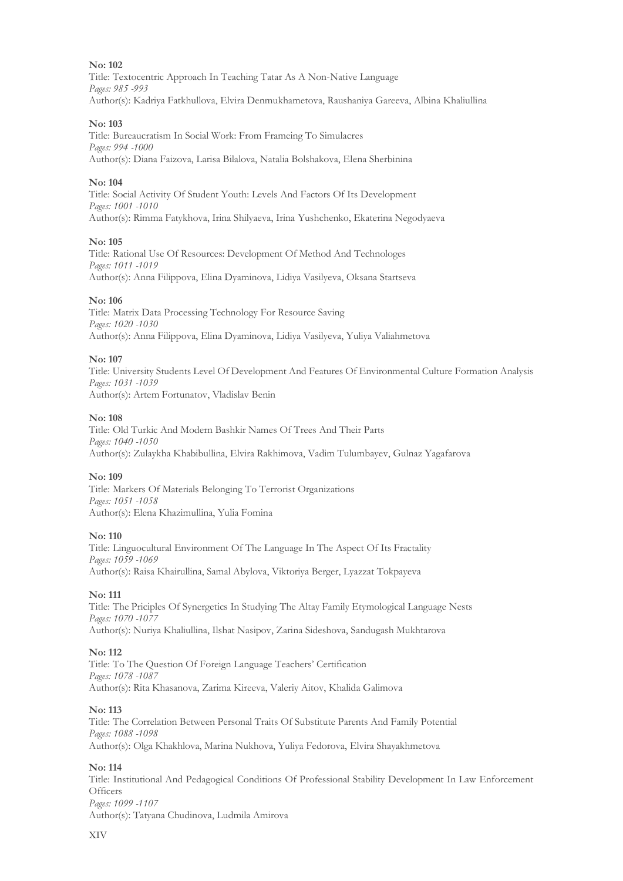Title: Textocentric Approach In Teaching Tatar As A Non-Native Language *Pages: 985 -993* Author(s): Kadriya Fatkhullova, Elvira Denmukhametova, Raushaniya Gareeva, Albina Khaliullina

# **No: 103**

Title: Bureaucratism In Social Work: From Frameing To Simulacres *Pages: 994 -1000* Author(s): Diana Faizova, Larisa Bilalova, Natalia Bolshakova, Elena Sherbinina

# **No: 104**

Title: Social Activity Of Student Youth: Levels And Factors Of Its Development *Pages: 1001 -1010* Author(s): Rimma Fatykhova, Irina Shilyaeva, Irina Yushchenko, Ekaterina Negodyaeva

#### **No: 105**

Title: Rational Use Of Resources: Development Of Method And Technologes *Pages: 1011 -1019* Author(s): Anna Filippova, Elina Dyaminova, Lidiya Vasilyeva, Oksana Startseva

# **No: 106**

Title: Matrix Data Processing Technology For Resource Saving *Pages: 1020 -1030* Author(s): Anna Filippova, Elina Dyaminova, Lidiya Vasilyeva, Yuliya Valiahmetova

#### **No: 107**

Title: University Students Level Of Development And Features Of Environmental Culture Formation Analysis *Pages: 1031 -1039* Author(s): Artem Fortunatov, Vladislav Benin

#### **No: 108**

Title: Old Turkic And Modern Bashkir Names Of Trees And Their Parts *Pages: 1040 -1050* Author(s): Zulaykha Khabibullina, Elvira Rakhimova, Vadim Tulumbayev, Gulnaz Yagafarova

# **No: 109**

Title: Markers Of Materials Belonging To Terrorist Organizations *Pages: 1051 -1058* Author(s): Elena Khazimullina, Yulia Fomina

# **No: 110**

Title: Linguocultural Environment Of The Language In The Aspect Of Its Fractality *Pages: 1059 -1069* Author(s): Raisa Khairullina, Samal Abylova, Viktoriya Berger, Lyazzat Tokpayeva

# **No: 111**

Title: The Priciples Of Synergetics In Studying The Altay Family Etymological Language Nests *Pages: 1070 -1077* Author(s): Nuriya Khaliullina, Ilshat Nasipov, Zarina Sideshova, Sandugash Mukhtarova

# **No: 112**

Title: To The Question Of Foreign Language Teachers' Certification *Pages: 1078 -1087* Author(s): Rita Khasanova, Zarima Kireeva, Valeriy Aitov, Khalida Galimova

# **No: 113**

Title: The Correlation Between Personal Traits Of Substitute Parents And Family Potential *Pages: 1088 -1098* Author(s): Olga Khakhlova, Marina Nukhova, Yuliya Fedorova, Elvira Shayakhmetova

# **No: 114**

Title: Institutional And Pedagogical Conditions Of Professional Stability Development In Law Enforcement **Officers** *Pages: 1099 -1107* Author(s): Tatyana Chudinova, Ludmila Amirova